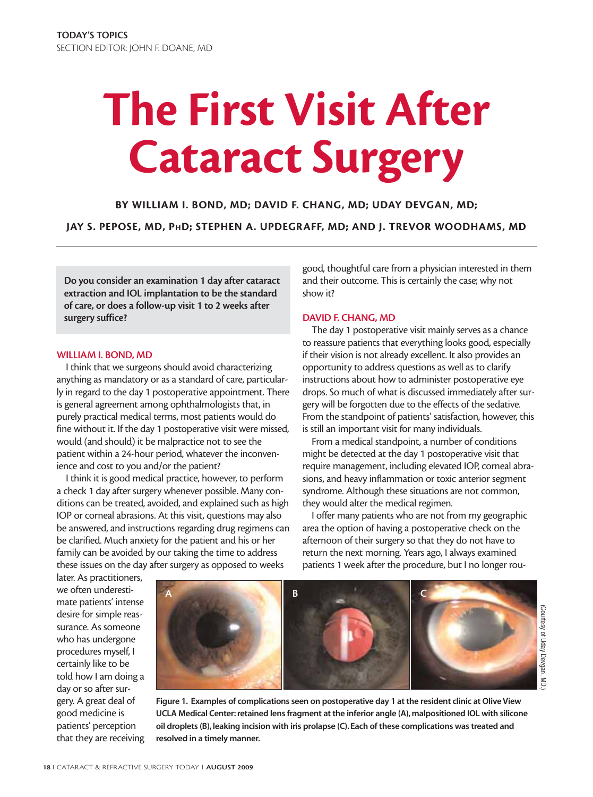# **The First Visit After Cataract Surgery**

**BY WILLIAM I. BOND, MD; DAVID F. CHANG, MD; UDAY DEVGAN, MD; JAY S. PEPOSE, MD, PHD; STEPHEN A. UPDEGRAFF, MD; AND J. TREVOR WOODHAMS, MD**

**Do you consider an examination 1 day after cataract extraction and IOL implantation to be the standard of care, or does a follow-up visit 1 to 2 weeks after surgery suffice?**

#### **WILLIAM I. BOND, MD**

I think that we surgeons should avoid characterizing anything as mandatory or as a standard of care, particularly in regard to the day 1 postoperative appointment. There is general agreement among ophthalmologists that, in purely practical medical terms, most patients would do fine without it. If the day 1 postoperative visit were missed, would (and should) it be malpractice not to see the patient within a 24-hour period, whatever the inconvenience and cost to you and/or the patient?

I think it is good medical practice, however, to perform a check 1 day after surgery whenever possible. Many conditions can be treated, avoided, and explained such as high IOP or corneal abrasions. At this visit, questions may also be answered, and instructions regarding drug regimens can be clarified. Much anxiety for the patient and his or her family can be avoided by our taking the time to address these issues on the day after surgery as opposed to weeks

good, thoughtful care from a physician interested in them and their outcome. This is certainly the case; why not show it?

# **DAVID F. CHANG, MD**

The day 1 postoperative visit mainly serves as a chance to reassure patients that everything looks good, especially if their vision is not already excellent. It also provides an opportunity to address questions as well as to clarify instructions about how to administer postoperative eye drops. So much of what is discussed immediately after surgery will be forgotten due to the effects of the sedative. From the standpoint of patients' satisfaction, however, this is still an important visit for many individuals.

From a medical standpoint, a number of conditions might be detected at the day 1 postoperative visit that require management, including elevated IOP, corneal abrasions, and heavy inflammation or toxic anterior segment syndrome. Although these situations are not common, they would alter the medical regimen.

I offer many patients who are not from my geographic area the option of having a postoperative check on the afternoon of their surgery so that they do not have to return the next morning. Years ago, I always examined patients 1 week after the procedure, but I no longer rou-

later. As practitioners, we often underestimate patients' intense desire for simple reassurance. As someone who has undergone procedures myself, I certainly like to be told how I am doing a day or so after surgery. A great deal of good medicine is patients' perception that they are receiving